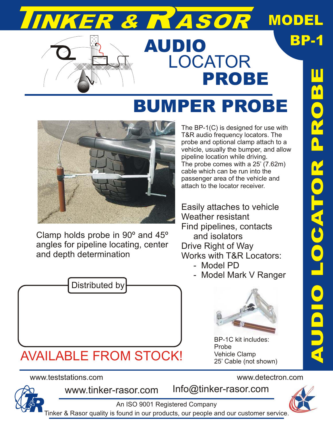# R & ASOR

### MODEL

BP-1



### AUDIO LOCATOR PROBE

## BUMPER PROBE



Clamp holds probe in 90º and 45º angles for pipeline locating, center and depth determination



### AVAILABLE FROM STOCK!

#### www.teststations.com www.detectron.com



www.tinker-rasor.com Info@tinker-rasor.com

An ISO 9001 Registered Company

AUD**I** O L O $\bigcirc$ AT OR P **C** O $\dot{\mathbf{0}}$ E

The BP-1(C) is designed for use with T&R audio frequency locators. The probe and optional clamp attach to a vehicle, usually the bumper, and allow pipeline location while driving. The probe comes with a 25' (7.62m) cable which can be run into the passenger area of the vehicle and attach to the locator receiver.

Easily attaches to vehicle Weather resistant Find pipelines, contacts and isolators Drive Right of Way Works with T&R Locators:

- Model PD
- Model Mark V Ranger



BP-1C kit includes: Probe Vehicle Clamp 25' Cable (not shown)